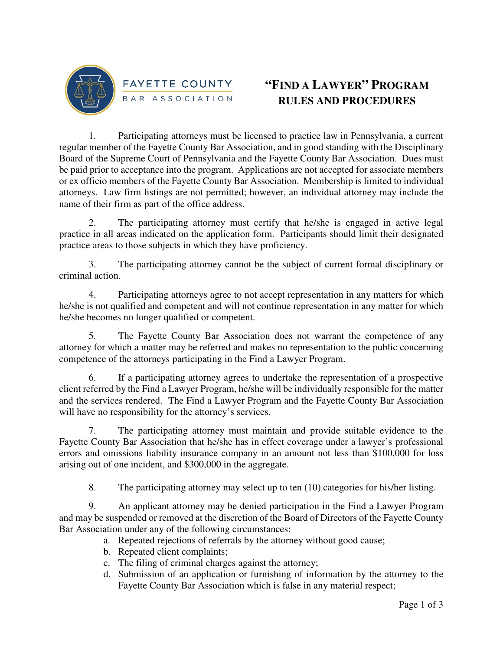

## **"FIND A LAWYER" PROGRAM RULES AND PROCEDURES**

1. Participating attorneys must be licensed to practice law in Pennsylvania, a current regular member of the Fayette County Bar Association, and in good standing with the Disciplinary Board of the Supreme Court of Pennsylvania and the Fayette County Bar Association. Dues must be paid prior to acceptance into the program. Applications are not accepted for associate members or ex officio members of the Fayette County Bar Association. Membership is limited to individual attorneys. Law firm listings are not permitted; however, an individual attorney may include the name of their firm as part of the office address.

2. The participating attorney must certify that he/she is engaged in active legal practice in all areas indicated on the application form. Participants should limit their designated practice areas to those subjects in which they have proficiency.

3. The participating attorney cannot be the subject of current formal disciplinary or criminal action.

4. Participating attorneys agree to not accept representation in any matters for which he/she is not qualified and competent and will not continue representation in any matter for which he/she becomes no longer qualified or competent.

5. The Fayette County Bar Association does not warrant the competence of any attorney for which a matter may be referred and makes no representation to the public concerning competence of the attorneys participating in the Find a Lawyer Program.

6. If a participating attorney agrees to undertake the representation of a prospective client referred by the Find a Lawyer Program, he/she will be individually responsible for the matter and the services rendered. The Find a Lawyer Program and the Fayette County Bar Association will have no responsibility for the attorney's services.

7. The participating attorney must maintain and provide suitable evidence to the Fayette County Bar Association that he/she has in effect coverage under a lawyer's professional errors and omissions liability insurance company in an amount not less than \$100,000 for loss arising out of one incident, and \$300,000 in the aggregate.

8. The participating attorney may select up to ten (10) categories for his/her listing.

9. An applicant attorney may be denied participation in the Find a Lawyer Program and may be suspended or removed at the discretion of the Board of Directors of the Fayette County Bar Association under any of the following circumstances:

- a. Repeated rejections of referrals by the attorney without good cause;
- b. Repeated client complaints;
- c. The filing of criminal charges against the attorney;
- d. Submission of an application or furnishing of information by the attorney to the Fayette County Bar Association which is false in any material respect;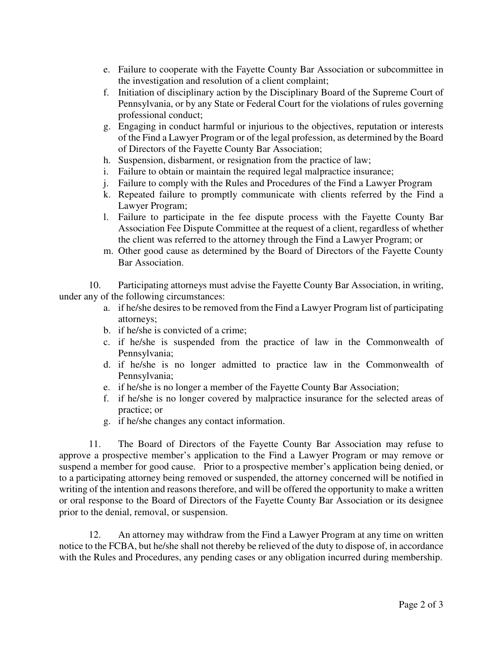- e. Failure to cooperate with the Fayette County Bar Association or subcommittee in the investigation and resolution of a client complaint;
- f. Initiation of disciplinary action by the Disciplinary Board of the Supreme Court of Pennsylvania, or by any State or Federal Court for the violations of rules governing professional conduct;
- g. Engaging in conduct harmful or injurious to the objectives, reputation or interests of the Find a Lawyer Program or of the legal profession, as determined by the Board of Directors of the Fayette County Bar Association;
- h. Suspension, disbarment, or resignation from the practice of law;
- i. Failure to obtain or maintain the required legal malpractice insurance;
- j. Failure to comply with the Rules and Procedures of the Find a Lawyer Program
- k. Repeated failure to promptly communicate with clients referred by the Find a Lawyer Program;
- l. Failure to participate in the fee dispute process with the Fayette County Bar Association Fee Dispute Committee at the request of a client, regardless of whether the client was referred to the attorney through the Find a Lawyer Program; or
- m. Other good cause as determined by the Board of Directors of the Fayette County Bar Association.

10. Participating attorneys must advise the Fayette County Bar Association, in writing, under any of the following circumstances:

- a. if he/she desires to be removed from the Find a Lawyer Program list of participating attorneys;
- b. if he/she is convicted of a crime;
- c. if he/she is suspended from the practice of law in the Commonwealth of Pennsylvania;
- d. if he/she is no longer admitted to practice law in the Commonwealth of Pennsylvania;
- e. if he/she is no longer a member of the Fayette County Bar Association;
- f. if he/she is no longer covered by malpractice insurance for the selected areas of practice; or
- g. if he/she changes any contact information.

11. The Board of Directors of the Fayette County Bar Association may refuse to approve a prospective member's application to the Find a Lawyer Program or may remove or suspend a member for good cause. Prior to a prospective member's application being denied, or to a participating attorney being removed or suspended, the attorney concerned will be notified in writing of the intention and reasons therefore, and will be offered the opportunity to make a written or oral response to the Board of Directors of the Fayette County Bar Association or its designee prior to the denial, removal, or suspension.

12. An attorney may withdraw from the Find a Lawyer Program at any time on written notice to the FCBA, but he/she shall not thereby be relieved of the duty to dispose of, in accordance with the Rules and Procedures, any pending cases or any obligation incurred during membership.